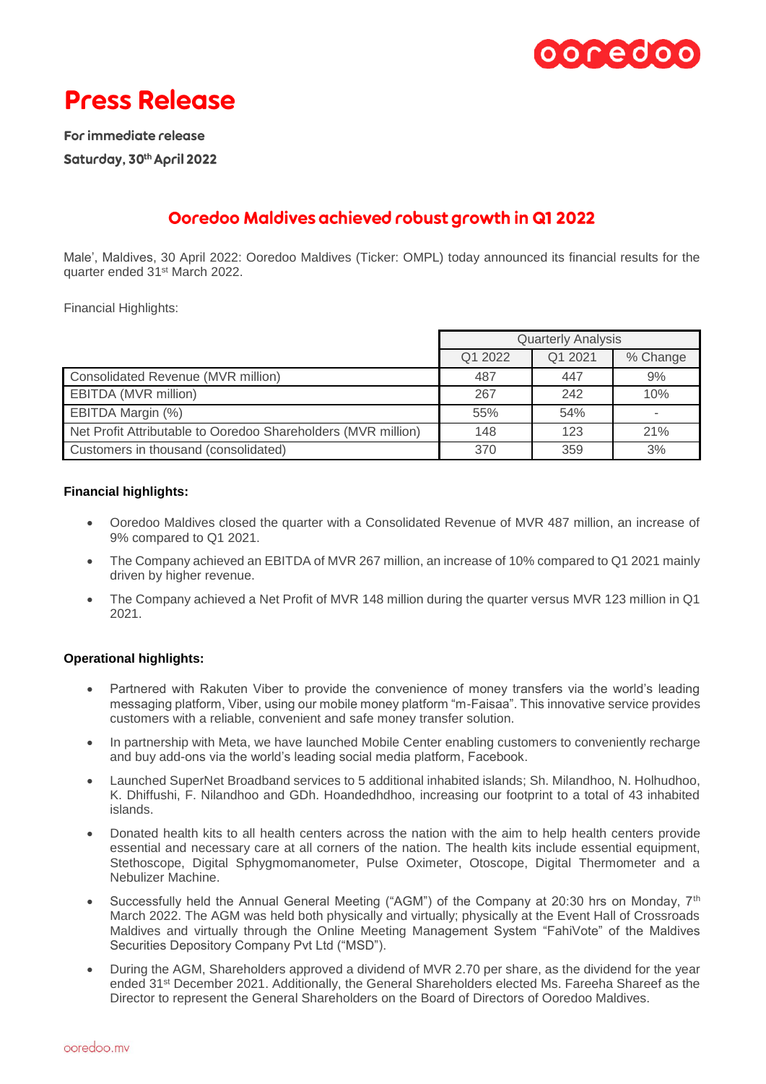

# **Press Release**

For immediate release Saturday, 30th April 2022

## Ooredoo Maldives achieved robust growth in Q1 2022

Male', Maldives, 30 April 2022: Ooredoo Maldives (Ticker: OMPL) today announced its financial results for the quarter ended 31st March 2022.

Financial Highlights:

|                                                               | <b>Quarterly Analysis</b> |         |          |
|---------------------------------------------------------------|---------------------------|---------|----------|
|                                                               | Q1 2022                   | Q1 2021 | % Change |
| Consolidated Revenue (MVR million)                            | 487                       | 447     | 9%       |
| EBITDA (MVR million)                                          | 267                       | 242     | 10%      |
| EBITDA Margin (%)                                             | 55%                       | 54%     |          |
| Net Profit Attributable to Ooredoo Shareholders (MVR million) | 148                       | 123     | 21%      |
| Customers in thousand (consolidated)                          | 370                       | 359     | 3%       |

### **Financial highlights:**

- Ooredoo Maldives closed the quarter with a Consolidated Revenue of MVR 487 million, an increase of 9% compared to Q1 2021.
- The Company achieved an EBITDA of MVR 267 million, an increase of 10% compared to Q1 2021 mainly driven by higher revenue.
- The Company achieved a Net Profit of MVR 148 million during the quarter versus MVR 123 million in Q1 2021.

## **Operational highlights:**

- Partnered with Rakuten Viber to provide the convenience of money transfers via the world's leading messaging platform, Viber, using our mobile money platform "m-Faisaa". This innovative service provides customers with a reliable, convenient and safe money transfer solution.
- In partnership with Meta, we have launched Mobile Center enabling customers to conveniently recharge and buy add-ons via the world's leading social media platform, Facebook.
- Launched SuperNet Broadband services to 5 additional inhabited islands; Sh. Milandhoo, N. Holhudhoo, K. Dhiffushi, F. Nilandhoo and GDh. Hoandedhdhoo, increasing our footprint to a total of 43 inhabited islands.
- Donated health kits to all health centers across the nation with the aim to help health centers provide essential and necessary care at all corners of the nation. The health kits include essential equipment, Stethoscope, Digital Sphygmomanometer, Pulse Oximeter, Otoscope, Digital Thermometer and a Nebulizer Machine.
- Successfully held the Annual General Meeting ("AGM") of the Company at 20:30 hrs on Monday,  $7<sup>th</sup>$ March 2022. The AGM was held both physically and virtually; physically at the Event Hall of Crossroads Maldives and virtually through the Online Meeting Management System "FahiVote" of the Maldives Securities Depository Company Pvt Ltd ("MSD").
- During the AGM, Shareholders approved a dividend of MVR 2.70 per share, as the dividend for the year ended 31<sup>st</sup> December 2021. Additionally, the General Shareholders elected Ms. Fareeha Shareef as the Director to represent the General Shareholders on the Board of Directors of Ooredoo Maldives.